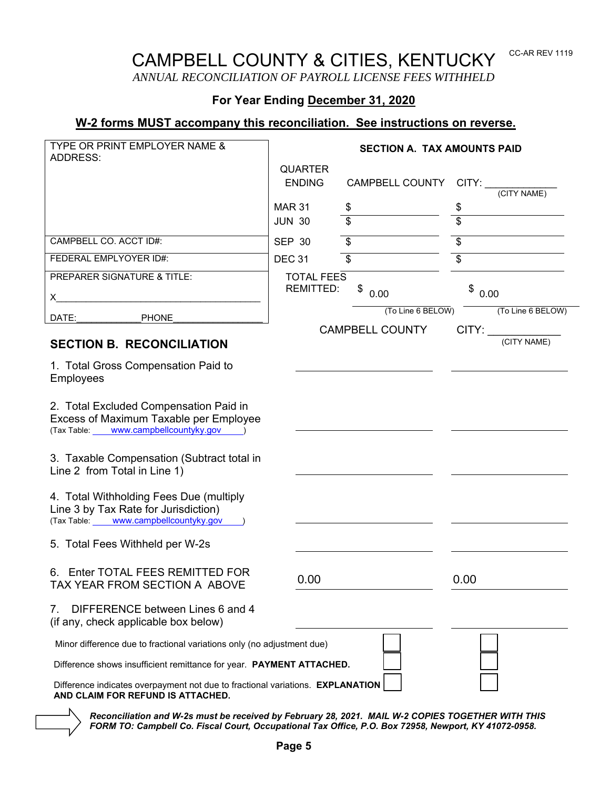# CAMPBELL COUNTY & CITIES, KENTUCKY

CC-AR REV 1119

*ANNUAL RECONCILIATION OF PAYROLL LICENSE FEES WITHHELD* 

## **For Year Ending December 31, 2020**

## **W-2 forms MUST accompany this reconciliation. See instructions on reverse.**

| <b>TYPE OR PRINT EMPLOYER NAME &amp;</b>                                                                                                                                                                                          | <b>SECTION A. TAX AMOUNTS PAID</b>                                     |                        |                                                                                                                                                                                                                                |
|-----------------------------------------------------------------------------------------------------------------------------------------------------------------------------------------------------------------------------------|------------------------------------------------------------------------|------------------------|--------------------------------------------------------------------------------------------------------------------------------------------------------------------------------------------------------------------------------|
| <b>ADDRESS:</b>                                                                                                                                                                                                                   | <b>QUARTER</b>                                                         |                        |                                                                                                                                                                                                                                |
|                                                                                                                                                                                                                                   | <b>ENDING</b>                                                          | CAMPBELL COUNTY        | CITY:                                                                                                                                                                                                                          |
|                                                                                                                                                                                                                                   |                                                                        |                        | (CITY NAME)                                                                                                                                                                                                                    |
|                                                                                                                                                                                                                                   | <b>MAR 31</b>                                                          | \$                     | \$                                                                                                                                                                                                                             |
|                                                                                                                                                                                                                                   | <b>JUN 30</b>                                                          | \$                     | \$                                                                                                                                                                                                                             |
| CAMPBELL CO. ACCT ID#:                                                                                                                                                                                                            | <b>SEP 30</b>                                                          | \$                     | \$                                                                                                                                                                                                                             |
| FEDERAL EMPLYOYER ID#:                                                                                                                                                                                                            | <b>DEC 31</b>                                                          | \$                     | \$                                                                                                                                                                                                                             |
| PREPARER SIGNATURE & TITLE:                                                                                                                                                                                                       | <b>TOTAL FEES</b>                                                      |                        |                                                                                                                                                                                                                                |
| $\mathsf{X}$ and the set of the set of the set of the set of the set of the set of the set of the set of the set of the set of the set of the set of the set of the set of the set of the set of the set of the set of the set of | <b>REMITTED:</b>                                                       | \$<br>0.00             | \$0.00                                                                                                                                                                                                                         |
|                                                                                                                                                                                                                                   |                                                                        | (To Line 6 BELOW)      | (To Line 6 BELOW)                                                                                                                                                                                                              |
| DATE:<br><b>PHONE</b>                                                                                                                                                                                                             |                                                                        | <b>CAMPBELL COUNTY</b> | CITY: and the control of the control of the control of the control of the control of the control of the control of the control of the control of the control of the control of the control of the control of the control of th |
| <b>SECTION B. RECONCILIATION</b>                                                                                                                                                                                                  |                                                                        |                        | (CITY NAME)                                                                                                                                                                                                                    |
| 1. Total Gross Compensation Paid to<br>Employees                                                                                                                                                                                  |                                                                        |                        |                                                                                                                                                                                                                                |
| 2. Total Excluded Compensation Paid in<br>Excess of Maximum Taxable per Employee<br>(Tax Table: _____ www.campbellcountyky.gov ____ )                                                                                             |                                                                        |                        |                                                                                                                                                                                                                                |
| 3. Taxable Compensation (Subtract total in<br>Line 2 from Total in Line 1)                                                                                                                                                        |                                                                        |                        |                                                                                                                                                                                                                                |
| 4. Total Withholding Fees Due (multiply<br>Line 3 by Tax Rate for Jurisdiction)<br>(Tax Table: _____ www.campbellcountyky.gov ___ )                                                                                               |                                                                        |                        |                                                                                                                                                                                                                                |
| 5. Total Fees Withheld per W-2s                                                                                                                                                                                                   |                                                                        |                        |                                                                                                                                                                                                                                |
| 6. Enter TOTAL FEES REMITTED FOR<br>TAX YEAR FROM SECTION A ABOVE                                                                                                                                                                 | 0.00                                                                   |                        | 0.00                                                                                                                                                                                                                           |
| DIFFERENCE between Lines 6 and 4<br>7.<br>(if any, check applicable box below)                                                                                                                                                    |                                                                        |                        |                                                                                                                                                                                                                                |
|                                                                                                                                                                                                                                   | Minor difference due to fractional variations only (no adjustment due) |                        |                                                                                                                                                                                                                                |
| Difference shows insufficient remittance for year. PAYMENT ATTACHED.                                                                                                                                                              |                                                                        |                        |                                                                                                                                                                                                                                |
| Difference indicates overpayment not due to fractional variations. EXPLANATION<br>AND CLAIM FOR REFUND IS ATTACHED.                                                                                                               |                                                                        |                        |                                                                                                                                                                                                                                |

*Reconciliation and W-2s must be received by February 28, 2021. MAIL W-2 COPIES TOGETHER WITH THIS FORM TO: Campbell Co. Fiscal Court, Occupational Tax Office, P.O. Box 72958, Newport, KY 41072-0958.*